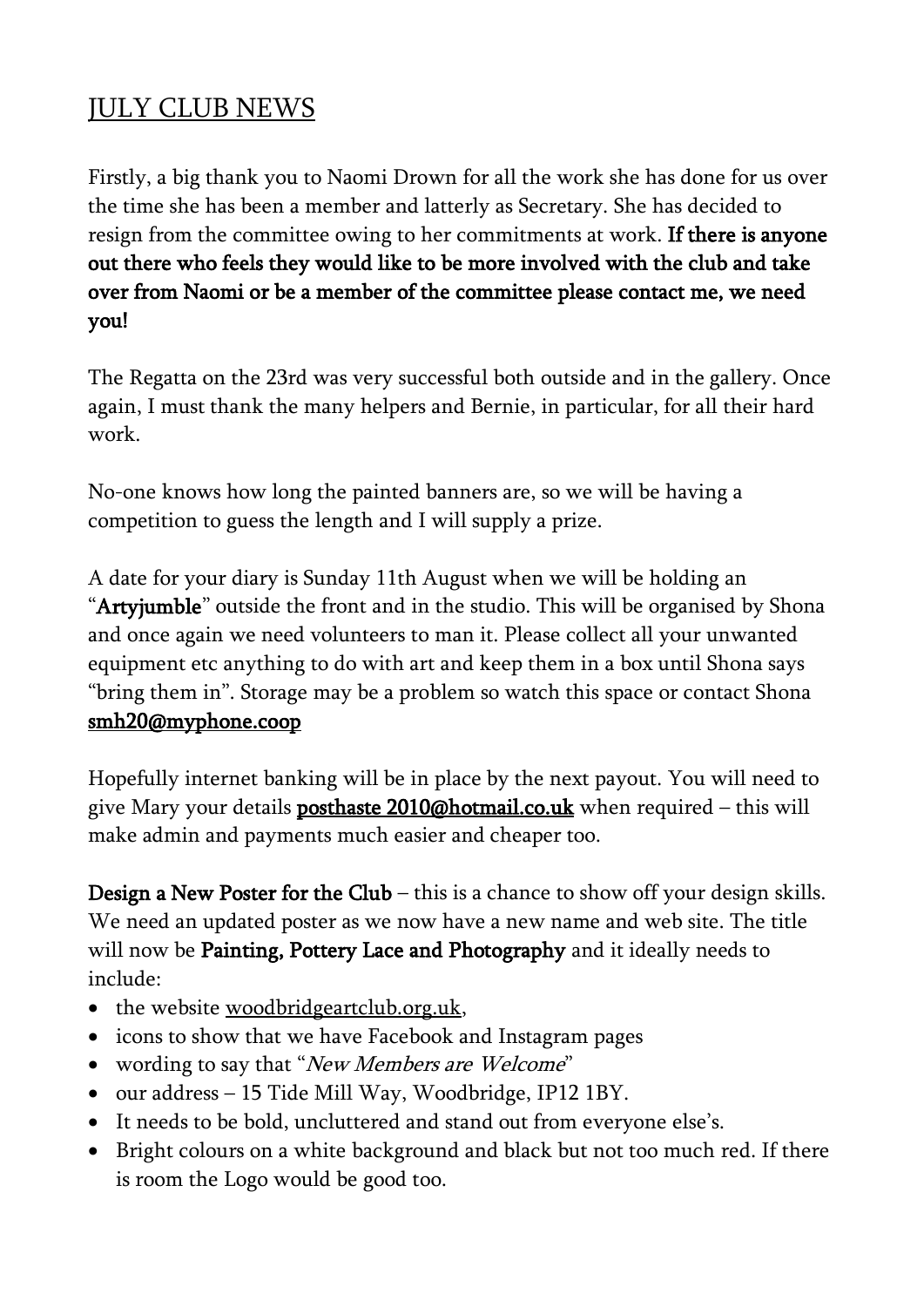## JULY CLUB NEWS

Firstly, a big thank you to Naomi Drown for all the work she has done for us over the time she has been a member and latterly as Secretary. She has decided to resign from the committee owing to her commitments at work. If there is anyone out there who feels they would like to be more involved with the club and take over from Naomi or be a member of the committee please contact me, we need you!

The Regatta on the 23rd was very successful both outside and in the gallery. Once again, I must thank the many helpers and Bernie, in particular, for all their hard work.

No-one knows how long the painted banners are, so we will be having a competition to guess the length and I will supply a prize.

A date for your diary is Sunday 11th August when we will be holding an "Artyjumble" outside the front and in the studio. This will be organised by Shona and once again we need volunteers to man it. Please collect all your unwanted equipment etc anything to do with art and keep them in a box until Shona says "bring them in". Storage may be a problem so watch this space or contact Shona [smh20@myphone.coop](mailto:smh20@myphone.coop) 

Hopefully internet banking will be in place by the next payout. You will need to give Mary your details **posthaste 2010** $\omega$ hotmail.co.uk when required – this will make admin and payments much easier and cheaper too.

Design a New Poster for the Club – this is a chance to show off your design skills. We need an updated poster as we now have a new name and web site. The title will now be Painting, Pottery Lace and Photography and it ideally needs to include:

- the website <u>woodbridgeartclub.org.uk</u>,
- icons to show that we have Facebook and Instagram pages
- wording to say that "*New Members are Welcome*"
- our address 15 Tide Mill Way, Woodbridge, IP12 1BY.
- It needs to be bold, uncluttered and stand out from everyone else's.
- Bright colours on a white background and black but not too much red. If there is room the Logo would be good too.